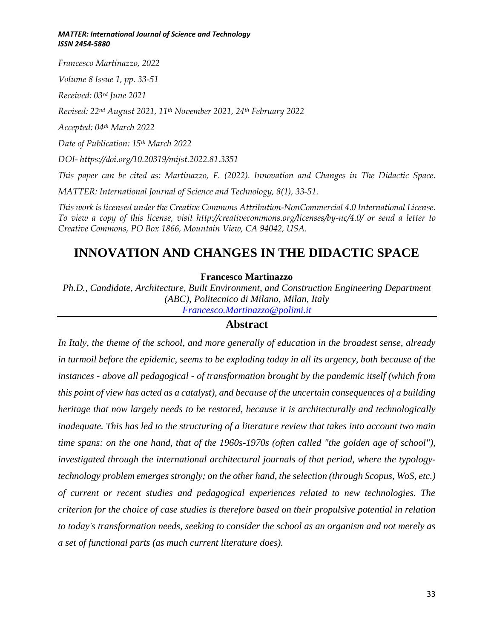*Francesco Martinazzo, 2022*

*Volume 8 Issue 1, pp. 33-51*

*Received: 03rd June 2021*

*Revised: 22nd August 2021, 11th November 2021, 24th February 2022*

*Accepted: 04th March 2022*

*Date of Publication: 15th March 2022*

*DOI- https://doi.org/10.20319/mijst.2022.81.3351*

*This paper can be cited as: Martinazzo, F. (2022). Innovation and Changes in The Didactic Space.*

*MATTER: International Journal of Science and Technology, 8(1), 33-51.*

*This work is licensed under the Creative Commons Attribution-NonCommercial 4.0 International License. To view a copy of this license, visit http://creativecommons.org/licenses/by-nc/4.0/ or send a letter to Creative Commons, PO Box 1866, Mountain View, CA 94042, USA.*

# **INNOVATION AND CHANGES IN THE DIDACTIC SPACE**

#### **Francesco Martinazzo**

*Ph.D., Candidate, Architecture, Built Environment, and Construction Engineering Department (ABC), Politecnico di Milano, Milan, Italy Francesco.Martinazzo@polimi.it*

### **Abstract**

*In Italy, the theme of the school, and more generally of education in the broadest sense, already in turmoil before the epidemic, seems to be exploding today in all its urgency, both because of the instances - above all pedagogical - of transformation brought by the pandemic itself (which from this point of view has acted as a catalyst), and because of the uncertain consequences of a building heritage that now largely needs to be restored, because it is architecturally and technologically inadequate. This has led to the structuring of a literature review that takes into account two main time spans: on the one hand, that of the 1960s-1970s (often called "the golden age of school"), investigated through the international architectural journals of that period, where the typologytechnology problem emerges strongly; on the other hand, the selection (through Scopus, WoS, etc.) of current or recent studies and pedagogical experiences related to new technologies. The criterion for the choice of case studies is therefore based on their propulsive potential in relation to today's transformation needs, seeking to consider the school as an organism and not merely as a set of functional parts (as much current literature does).*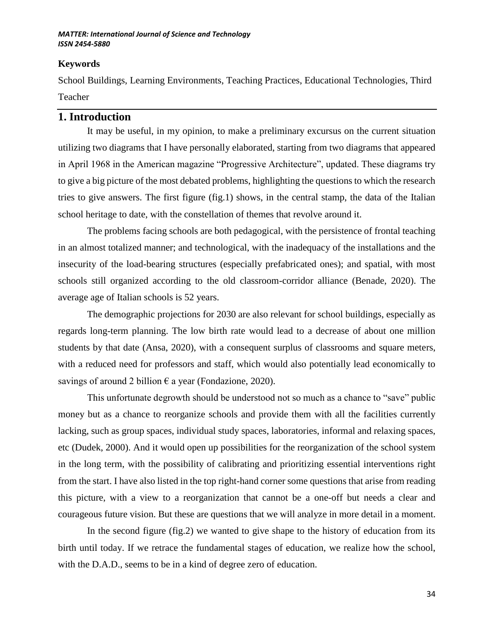### **Keywords**

School Buildings, Learning Environments, Teaching Practices, Educational Technologies, Third Teacher

## **1. Introduction**

It may be useful, in my opinion, to make a preliminary excursus on the current situation utilizing two diagrams that I have personally elaborated, starting from two diagrams that appeared in April 1968 in the American magazine "Progressive Architecture", updated. These diagrams try to give a big picture of the most debated problems, highlighting the questions to which the research tries to give answers. The first figure (fig.1) shows, in the central stamp, the data of the Italian school heritage to date, with the constellation of themes that revolve around it.

The problems facing schools are both pedagogical, with the persistence of frontal teaching in an almost totalized manner; and technological, with the inadequacy of the installations and the insecurity of the load-bearing structures (especially prefabricated ones); and spatial, with most schools still organized according to the old classroom-corridor alliance (Benade, 2020). The average age of Italian schools is 52 years.

The demographic projections for 2030 are also relevant for school buildings, especially as regards long-term planning. The low birth rate would lead to a decrease of about one million students by that date (Ansa, 2020), with a consequent surplus of classrooms and square meters, with a reduced need for professors and staff, which would also potentially lead economically to savings of around 2 billion  $\epsilon$  a year (Fondazione, 2020).

This unfortunate degrowth should be understood not so much as a chance to "save" public money but as a chance to reorganize schools and provide them with all the facilities currently lacking, such as group spaces, individual study spaces, laboratories, informal and relaxing spaces, etc (Dudek, 2000). And it would open up possibilities for the reorganization of the school system in the long term, with the possibility of calibrating and prioritizing essential interventions right from the start. I have also listed in the top right-hand corner some questions that arise from reading this picture, with a view to a reorganization that cannot be a one-off but needs a clear and courageous future vision. But these are questions that we will analyze in more detail in a moment.

In the second figure (fig.2) we wanted to give shape to the history of education from its birth until today. If we retrace the fundamental stages of education, we realize how the school, with the D.A.D., seems to be in a kind of degree zero of education.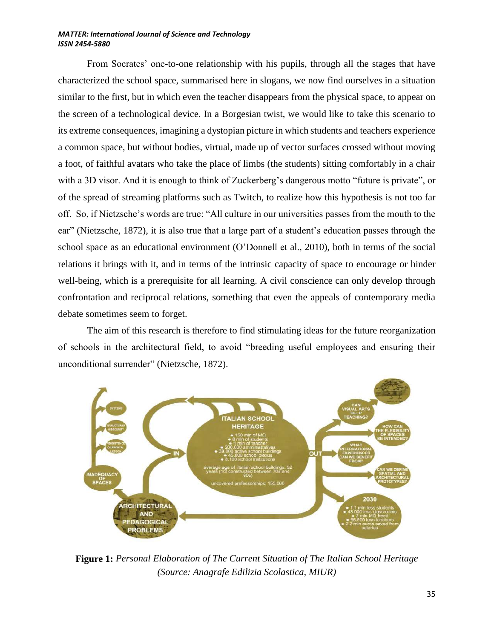From Socrates' one-to-one relationship with his pupils, through all the stages that have characterized the school space, summarised here in slogans, we now find ourselves in a situation similar to the first, but in which even the teacher disappears from the physical space, to appear on the screen of a technological device. In a Borgesian twist, we would like to take this scenario to its extreme consequences, imagining a dystopian picture in which students and teachers experience a common space, but without bodies, virtual, made up of vector surfaces crossed without moving a foot, of faithful avatars who take the place of limbs (the students) sitting comfortably in a chair with a 3D visor. And it is enough to think of Zuckerberg's dangerous motto "future is private", or of the spread of streaming platforms such as Twitch, to realize how this hypothesis is not too far off. So, if Nietzsche's words are true: "All culture in our universities passes from the mouth to the ear" (Nietzsche, 1872), it is also true that a large part of a student's education passes through the school space as an educational environment (O'Donnell et al., 2010), both in terms of the social relations it brings with it, and in terms of the intrinsic capacity of space to encourage or hinder well-being, which is a prerequisite for all learning. A civil conscience can only develop through confrontation and reciprocal relations, something that even the appeals of contemporary media debate sometimes seem to forget.

The aim of this research is therefore to find stimulating ideas for the future reorganization of schools in the architectural field, to avoid "breeding useful employees and ensuring their unconditional surrender" (Nietzsche, 1872).



**Figure 1:** *Personal Elaboration of The Current Situation of The Italian School Heritage (Source: Anagrafe Edilizia Scolastica, MIUR)*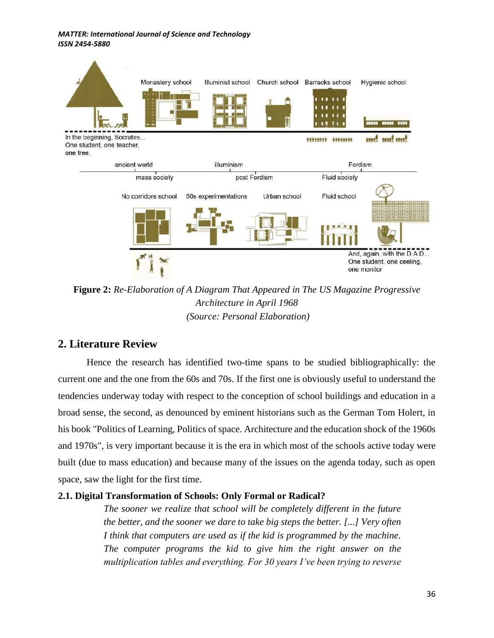

**Figure 2:** *Re-Elaboration of A Diagram That Appeared in The US Magazine Progressive Architecture in April 1968 (Source: Personal Elaboration)*

## **2. Literature Review**

Hence the research has identified two-time spans to be studied bibliographically: the current one and the one from the 60s and 70s. If the first one is obviously useful to understand the tendencies underway today with respect to the conception of school buildings and education in a broad sense, the second, as denounced by eminent historians such as the German Tom Holert, in his book "Politics of Learning, Politics of space. Architecture and the education shock of the 1960s and 1970s", is very important because it is the era in which most of the schools active today were built (due to mass education) and because many of the issues on the agenda today, such as open space, saw the light for the first time.

### **2.1. Digital Transformation of Schools: Only Formal or Radical?**

*The sooner we realize that school will be completely different in the future the better, and the sooner we dare to take big steps the better. [...] Very often I think that computers are used as if the kid is programmed by the machine. The computer programs the kid to give him the right answer on the multiplication tables and everything. For 30 years I've been trying to reverse*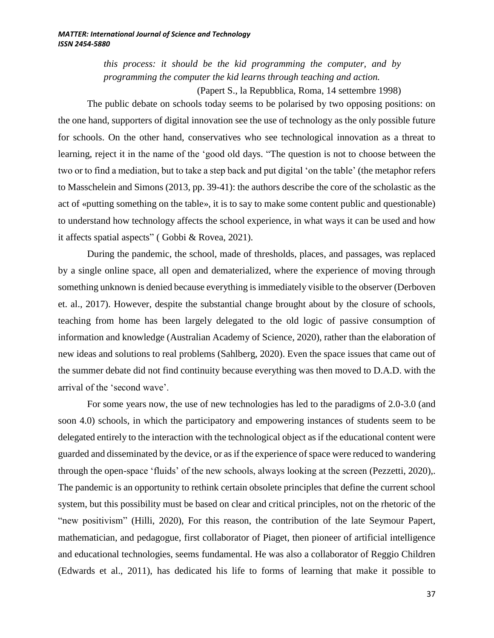*this process: it should be the kid programming the computer, and by programming the computer the kid learns through teaching and action.*

(Papert S., la Repubblica, Roma, 14 settembre 1998)

The public debate on schools today seems to be polarised by two opposing positions: on the one hand, supporters of digital innovation see the use of technology as the only possible future for schools. On the other hand, conservatives who see technological innovation as a threat to learning, reject it in the name of the 'good old days. "The question is not to choose between the two or to find a mediation, but to take a step back and put digital 'on the table' (the metaphor refers to Masschelein and Simons (2013, pp. 39-41): the authors describe the core of the scholastic as the act of «putting something on the table», it is to say to make some content public and questionable) to understand how technology affects the school experience, in what ways it can be used and how it affects spatial aspects" ( Gobbi & Rovea, 2021).

During the pandemic, the school, made of thresholds, places, and passages, was replaced by a single online space, all open and dematerialized, where the experience of moving through something unknown is denied because everything is immediately visible to the observer (Derboven et. al., 2017). However, despite the substantial change brought about by the closure of schools, teaching from home has been largely delegated to the old logic of passive consumption of information and knowledge (Australian Academy of Science, 2020), rather than the elaboration of new ideas and solutions to real problems (Sahlberg, 2020). Even the space issues that came out of the summer debate did not find continuity because everything was then moved to D.A.D. with the arrival of the 'second wave'.

For some years now, the use of new technologies has led to the paradigms of 2.0-3.0 (and soon 4.0) schools, in which the participatory and empowering instances of students seem to be delegated entirely to the interaction with the technological object as if the educational content were guarded and disseminated by the device, or as if the experience of space were reduced to wandering through the open-space 'fluids' of the new schools, always looking at the screen (Pezzetti, 2020),. The pandemic is an opportunity to rethink certain obsolete principles that define the current school system, but this possibility must be based on clear and critical principles, not on the rhetoric of the "new positivism" (Hilli, 2020), For this reason, the contribution of the late Seymour Papert, mathematician, and pedagogue, first collaborator of Piaget, then pioneer of artificial intelligence and educational technologies, seems fundamental. He was also a collaborator of Reggio Children (Edwards et al., 2011), has dedicated his life to forms of learning that make it possible to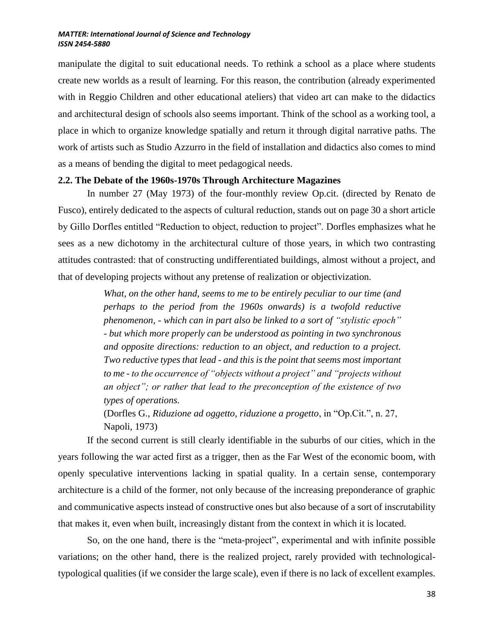manipulate the digital to suit educational needs. To rethink a school as a place where students create new worlds as a result of learning. For this reason, the contribution (already experimented with in Reggio Children and other educational ateliers) that video art can make to the didactics and architectural design of schools also seems important. Think of the school as a working tool, a place in which to organize knowledge spatially and return it through digital narrative paths. The work of artists such as Studio Azzurro in the field of installation and didactics also comes to mind as a means of bending the digital to meet pedagogical needs.

#### **2.2. The Debate of the 1960s-1970s Through Architecture Magazines**

In number 27 (May 1973) of the four-monthly review Op.cit. (directed by Renato de Fusco), entirely dedicated to the aspects of cultural reduction, stands out on page 30 a short article by Gillo Dorfles entitled "Reduction to object, reduction to project". Dorfles emphasizes what he sees as a new dichotomy in the architectural culture of those years, in which two contrasting attitudes contrasted: that of constructing undifferentiated buildings, almost without a project, and that of developing projects without any pretense of realization or objectivization.

> *What, on the other hand, seems to me to be entirely peculiar to our time (and perhaps to the period from the 1960s onwards) is a twofold reductive phenomenon, - which can in part also be linked to a sort of "stylistic epoch" - but which more properly can be understood as pointing in two synchronous and opposite directions: reduction to an object, and reduction to a project. Two reductive types that lead - and this is the point that seems most important to me - to the occurrence of "objects without a project" and "projects without an object"; or rather that lead to the preconception of the existence of two types of operations.*

(Dorfles G., *Riduzione ad oggetto, riduzione a progetto*, in "Op.Cit.", n. 27, Napoli, 1973)

If the second current is still clearly identifiable in the suburbs of our cities, which in the years following the war acted first as a trigger, then as the Far West of the economic boom, with openly speculative interventions lacking in spatial quality. In a certain sense, contemporary architecture is a child of the former, not only because of the increasing preponderance of graphic and communicative aspects instead of constructive ones but also because of a sort of inscrutability that makes it, even when built, increasingly distant from the context in which it is located.

So, on the one hand, there is the "meta-project", experimental and with infinite possible variations; on the other hand, there is the realized project, rarely provided with technologicaltypological qualities (if we consider the large scale), even if there is no lack of excellent examples.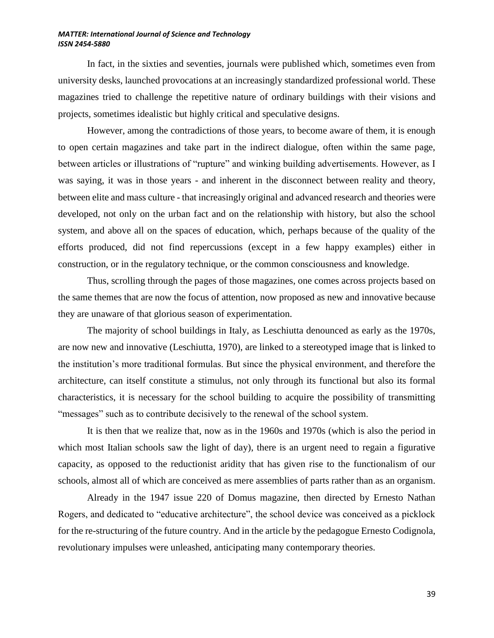In fact, in the sixties and seventies, journals were published which, sometimes even from university desks, launched provocations at an increasingly standardized professional world. These magazines tried to challenge the repetitive nature of ordinary buildings with their visions and projects, sometimes idealistic but highly critical and speculative designs.

However, among the contradictions of those years, to become aware of them, it is enough to open certain magazines and take part in the indirect dialogue, often within the same page, between articles or illustrations of "rupture" and winking building advertisements. However, as I was saying, it was in those years - and inherent in the disconnect between reality and theory, between elite and mass culture - that increasingly original and advanced research and theories were developed, not only on the urban fact and on the relationship with history, but also the school system, and above all on the spaces of education, which, perhaps because of the quality of the efforts produced, did not find repercussions (except in a few happy examples) either in construction, or in the regulatory technique, or the common consciousness and knowledge.

Thus, scrolling through the pages of those magazines, one comes across projects based on the same themes that are now the focus of attention, now proposed as new and innovative because they are unaware of that glorious season of experimentation.

The majority of school buildings in Italy, as Leschiutta denounced as early as the 1970s, are now new and innovative (Leschiutta, 1970), are linked to a stereotyped image that is linked to the institution's more traditional formulas. But since the physical environment, and therefore the architecture, can itself constitute a stimulus, not only through its functional but also its formal characteristics, it is necessary for the school building to acquire the possibility of transmitting "messages" such as to contribute decisively to the renewal of the school system.

It is then that we realize that, now as in the 1960s and 1970s (which is also the period in which most Italian schools saw the light of day), there is an urgent need to regain a figurative capacity, as opposed to the reductionist aridity that has given rise to the functionalism of our schools, almost all of which are conceived as mere assemblies of parts rather than as an organism.

Already in the 1947 issue 220 of Domus magazine, then directed by Ernesto Nathan Rogers, and dedicated to "educative architecture", the school device was conceived as a picklock for the re-structuring of the future country. And in the article by the pedagogue Ernesto Codignola, revolutionary impulses were unleashed, anticipating many contemporary theories.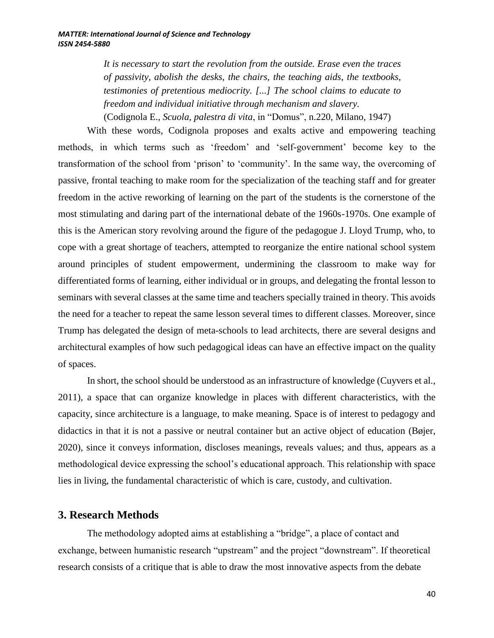*It is necessary to start the revolution from the outside. Erase even the traces of passivity, abolish the desks, the chairs, the teaching aids, the textbooks, testimonies of pretentious mediocrity. [...] The school claims to educate to freedom and individual initiative through mechanism and slavery.*  (Codignola E., *Scuola, palestra di vita*, in "Domus", n.220, Milano, 1947)

With these words, Codignola proposes and exalts active and empowering teaching methods, in which terms such as 'freedom' and 'self-government' become key to the transformation of the school from 'prison' to 'community'. In the same way, the overcoming of passive, frontal teaching to make room for the specialization of the teaching staff and for greater freedom in the active reworking of learning on the part of the students is the cornerstone of the most stimulating and daring part of the international debate of the 1960s-1970s. One example of this is the American story revolving around the figure of the pedagogue J. Lloyd Trump, who, to cope with a great shortage of teachers, attempted to reorganize the entire national school system around principles of student empowerment, undermining the classroom to make way for differentiated forms of learning, either individual or in groups, and delegating the frontal lesson to seminars with several classes at the same time and teachers specially trained in theory. This avoids the need for a teacher to repeat the same lesson several times to different classes. Moreover, since Trump has delegated the design of meta-schools to lead architects, there are several designs and architectural examples of how such pedagogical ideas can have an effective impact on the quality of spaces.

In short, the school should be understood as an infrastructure of knowledge (Cuyvers et al., 2011), a space that can organize knowledge in places with different characteristics, with the capacity, since architecture is a language, to make meaning. Space is of interest to pedagogy and didactics in that it is not a passive or neutral container but an active object of education (Bøjer, 2020), since it conveys information, discloses meanings, reveals values; and thus, appears as a methodological device expressing the school's educational approach. This relationship with space lies in living, the fundamental characteristic of which is care, custody, and cultivation.

## **3. Research Methods**

The methodology adopted aims at establishing a "bridge", a place of contact and exchange, between humanistic research "upstream" and the project "downstream". If theoretical research consists of a critique that is able to draw the most innovative aspects from the debate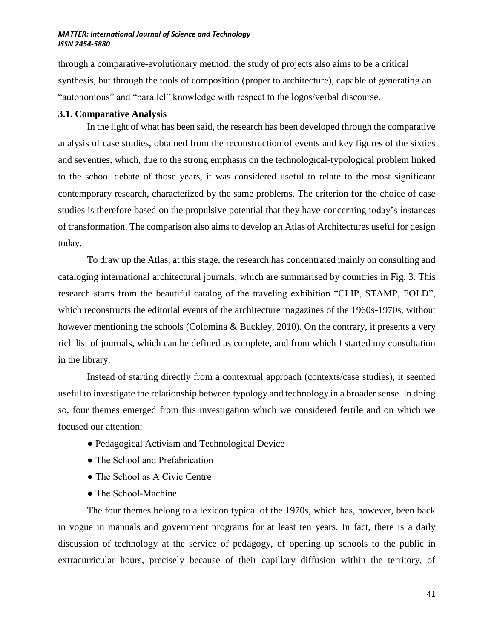through a comparative-evolutionary method, the study of projects also aims to be a critical synthesis, but through the tools of composition (proper to architecture), capable of generating an "autonomous" and "parallel" knowledge with respect to the logos/verbal discourse.

### **3.1. Comparative Analysis**

In the light of what has been said, the research has been developed through the comparative analysis of case studies, obtained from the reconstruction of events and key figures of the sixties and seventies, which, due to the strong emphasis on the technological-typological problem linked to the school debate of those years, it was considered useful to relate to the most significant contemporary research, characterized by the same problems. The criterion for the choice of case studies is therefore based on the propulsive potential that they have concerning today's instances of transformation. The comparison also aims to develop an Atlas of Architectures useful for design today.

To draw up the Atlas, at this stage, the research has concentrated mainly on consulting and cataloging international architectural journals, which are summarised by countries in Fig. 3. This research starts from the beautiful catalog of the traveling exhibition "CLIP, STAMP, FOLD", which reconstructs the editorial events of the architecture magazines of the 1960s-1970s, without however mentioning the schools (Colomina & Buckley, 2010). On the contrary, it presents a very rich list of journals, which can be defined as complete, and from which I started my consultation in the library.

Instead of starting directly from a contextual approach (contexts/case studies), it seemed useful to investigate the relationship between typology and technology in a broader sense. In doing so, four themes emerged from this investigation which we considered fertile and on which we focused our attention:

- Pedagogical Activism and Technological Device
- The School and Prefabrication
- The School as A Civic Centre
- The School-Machine

The four themes belong to a lexicon typical of the 1970s, which has, however, been back in vogue in manuals and government programs for at least ten years. In fact, there is a daily discussion of technology at the service of pedagogy, of opening up schools to the public in extracurricular hours, precisely because of their capillary diffusion within the territory, of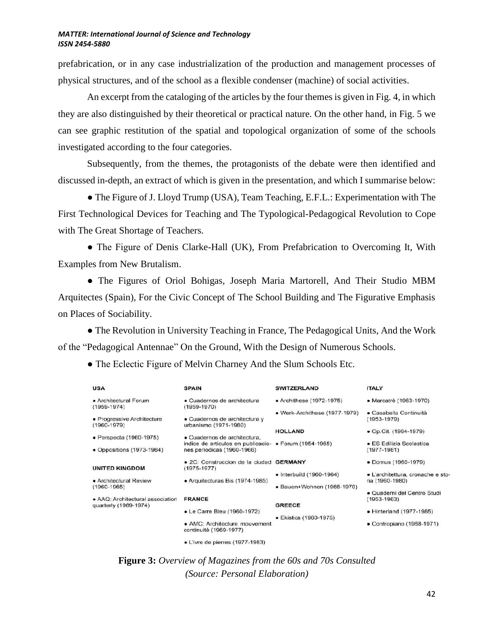prefabrication, or in any case industrialization of the production and management processes of physical structures, and of the school as a flexible condenser (machine) of social activities.

An excerpt from the cataloging of the articles by the four themes is given in Fig. 4, in which they are also distinguished by their theoretical or practical nature. On the other hand, in Fig. 5 we can see graphic restitution of the spatial and topological organization of some of the schools investigated according to the four categories.

Subsequently, from the themes, the protagonists of the debate were then identified and discussed in-depth, an extract of which is given in the presentation, and which I summarise below:

● The Figure of J. Lloyd Trump (USA), Team Teaching, E.F.L.: Experimentation with The First Technological Devices for Teaching and The Typological-Pedagogical Revolution to Cope with The Great Shortage of Teachers.

• The Figure of Denis Clarke-Hall (UK), From Prefabrication to Overcoming It, With Examples from New Brutalism.

● The Figures of Oriol Bohigas, Joseph Maria Martorell, And Their Studio MBM Arquitectes (Spain), For the Civic Concept of The School Building and The Figurative Emphasis on Places of Sociability.

• The Revolution in University Teaching in France, The Pedagogical Units, And the Work of the "Pedagogical Antennae" On the Ground, With the Design of Numerous Schools.

• The Eclectic Figure of Melvin Charney And the Slum Schools Etc.

| <b>USA</b>                                    | <b>SPAIN</b>                                                     | <b>SWITZERLAND</b>               | <b>ITALY</b>                                   |
|-----------------------------------------------|------------------------------------------------------------------|----------------------------------|------------------------------------------------|
| · Architectural Forum<br>$(1959 - 1974)$      | · Cuadernos de architectura<br>$(1959 - 1970)$                   | • Archithese (1972-1975)         | • Marcatrè (1963-1970)                         |
|                                               |                                                                  | • Werk-Archithese (1977-1979)    | · Casabella Continuità                         |
| • Progressive Architecture<br>$(1960 - 1979)$ | • Cuadernos de architectura y<br>urbanismo (1971-1980)           |                                  | $(1953 - 1979)$                                |
|                                               |                                                                  | <b>HOLLAND</b>                   | • Op.Cit. (1964-1979)                          |
| • Perspecta (1960-1975)                       | · Cuadernos de architectura,                                     |                                  |                                                |
| • Oppositions (1973-1984)                     | indice de articulos en publicacio-<br>nes periodicas (1960-1966) | • Forum (1954-1965)              | · ES Edilizia Scolastica<br>$(1977 - 1981)$    |
|                                               |                                                                  |                                  |                                                |
| <b>UNITED KINGDOM</b>                         | · 2C: Construccion de la ciudad GERMANY<br>$(1975 - 1977)$       |                                  | • Domus (1960-1979)                            |
|                                               |                                                                  | $\bullet$ Interbuild (1960-1964) | · L'architettura, cronache e sto               |
| • Architectural Review                        | • Arquitecturas Bis (1974-1985)                                  |                                  | ria (1960-1980)                                |
| $(1960 - 1965)$                               |                                                                  | • Bauen+Wohnen (1966-1970)       |                                                |
| · AAQ: Architectural association              | <b>FRANCE</b>                                                    |                                  | · Quaderni del Centro Studi<br>$(1953 - 1963)$ |
| quarterly (1969-1974)                         |                                                                  | <b>GREECE</b>                    |                                                |
|                                               | • Le Carre Bleu (1960-1972)                                      |                                  | • Hinterland (1977-1985)                       |
|                                               |                                                                  | • Ekistics (1960-1975)           |                                                |
|                                               | • AMC: Architecture mouvement<br>continuité (1969-1977)          |                                  | • Contropiano (1968-1971)                      |
|                                               | • L'ivre de pierres (1977-1983)                                  |                                  |                                                |

**Figure 3:** *Overview of Magazines from the 60s and 70s Consulted (Source: Personal Elaboration)*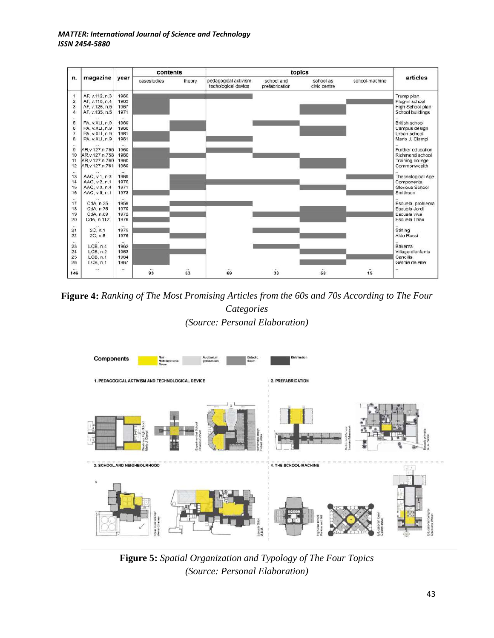|                      | contents                         |                           |                            | topics             |                                             |                                  |                           |                |                               |
|----------------------|----------------------------------|---------------------------|----------------------------|--------------------|---------------------------------------------|----------------------------------|---------------------------|----------------|-------------------------------|
| n.                   | magazine                         | year                      | casestudies                | theory             | pedagogical activism<br>techological device | school and<br>prefabrication     | school as<br>civic centre | school-machine | articles                      |
| $\overline{1}$       | AF, v.112, n.3                   | 1960                      |                            |                    |                                             |                                  |                           |                | Trump plan                    |
| $\overline{2}$       | AF, v.116, n.4                   | 1963                      |                            |                    |                                             |                                  |                           |                | Plug-in school                |
| $\overline{3}$       | AF. v.126, n.5                   | 1967                      |                            |                    |                                             |                                  |                           |                | High School plan              |
| $\overline{4}$       | AF, v.135, n.5                   | 1971                      |                            |                    |                                             |                                  |                           |                | School buildings              |
| $\cdots$             |                                  | $\mathbf{r}$<br>1960      |                            |                    |                                             |                                  |                           |                |                               |
| 5<br>6               | PA, v.XLI, n.9                   | 1960                      |                            |                    |                                             |                                  |                           |                | British school                |
| $\overline{7}$       | PA, v.XLI, n.9<br>PA, v.XLI, n.9 | 1961                      |                            |                    |                                             |                                  |                           |                | Campus design<br>Urban school |
| 8                    | PA, v.XLI, n.9                   | 1961                      |                            |                    |                                             |                                  |                           |                | Mario J. Ciampi               |
|                      |                                  | <b>COL</b>                |                            |                    |                                             |                                  |                           |                |                               |
| $(4 -$<br>$\theta$   | AR.v.127.n.755                   | 1960                      |                            |                    |                                             |                                  |                           |                | Further education             |
| 10                   | AR.v.127.n.758                   | 1960                      |                            |                    |                                             |                                  |                           |                | Richmond school               |
| 11                   | AR.v.127.n.760                   | 1960                      |                            |                    |                                             |                                  |                           |                | Training college              |
| 12                   | AR.v.127.n.761                   | 1960                      |                            |                    |                                             |                                  |                           |                | Commonwealth                  |
| $\overline{+}\,$     |                                  | $\cdots$                  |                            |                    |                                             |                                  |                           |                |                               |
| 13                   | AAQ, v.1, n.3                    | 1969                      |                            |                    |                                             |                                  |                           |                | Thecnological Age             |
| 14                   | AAQ, v.2, n.1                    | 1970                      |                            |                    |                                             |                                  |                           |                | Components                    |
| 15                   | AAQ, v.3, n.4                    | 1971                      |                            |                    |                                             |                                  |                           |                | Glorious School               |
| 16                   | AAQ, v.5, n.1                    | 1973                      |                            |                    |                                             |                                  |                           |                | Smithson                      |
| $\overline{1}$<br>17 | CdA, n.35                        | $\sim$<br>1959            |                            |                    |                                             |                                  |                           |                | Escuela, problema             |
| 18                   | CdA, n.75                        | 1970                      |                            |                    |                                             |                                  |                           |                | Escuela Jordi                 |
| 19                   | CdA, n.89                        | 1972                      |                            |                    |                                             |                                  |                           |                | Escuela viva                  |
| 20                   | CdA, n.112                       | 1976                      |                            |                    |                                             |                                  |                           |                | Escuela Thau                  |
| $+ +$                |                                  | $\leftrightarrow$         |                            |                    |                                             |                                  |                           |                |                               |
| 21                   | 2C, n.1                          | 1975                      |                            |                    |                                             |                                  |                           |                | Stirling                      |
| 22                   | 2C. n.8                          | 1976                      |                            |                    |                                             |                                  |                           |                | Aldo Rossi                    |
| 144.                 | У×.                              | $\mathcal{L}(\mathbf{r})$ |                            |                    |                                             |                                  |                           |                | à.                            |
| 23                   | LCB, n.4                         | 1962                      |                            |                    |                                             |                                  |                           |                | Bakema                        |
| 24                   | LCB, n.2                         | 1963                      |                            |                    |                                             |                                  |                           |                | Village d'enfants             |
| 25                   | LCB, n.1                         | 1964                      |                            |                    |                                             |                                  |                           |                | Candilis                      |
| 26                   | LCB, n.1                         | 1967                      |                            |                    |                                             |                                  |                           |                | Germe de ville                |
| $\cdots$<br>146      | $\cdots$                         | $\alpha$                  | $\ddot{\phantom{1}}$<br>93 | $\mathbf{r}$<br>53 | $\overline{\mathbf{r}}$<br>69               | $\mathcal{F}(\mathcal{C})$<br>33 | $\overline{a}$<br>58      | 15             |                               |

**Figure 4:** *Ranking of The Most Promising Articles from the 60s and 70s According to The Four Categories (Source: Personal Elaboration)*



**Figure 5:** *Spatial Organization and Typology of The Four Topics (Source: Personal Elaboration)*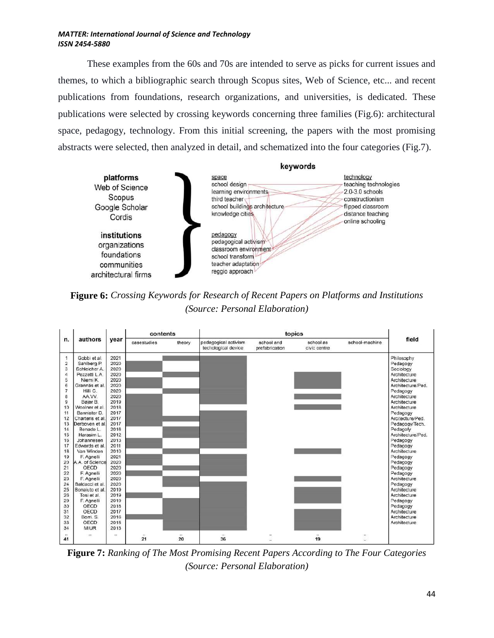These examples from the 60s and 70s are intended to serve as picks for current issues and themes, to which a bibliographic search through Scopus sites, Web of Science, etc... and recent publications from foundations, research organizations, and universities, is dedicated. These publications were selected by crossing keywords concerning three families (Fig.6): architectural space, pedagogy, technology. From this initial screening, the papers with the most promising abstracts were selected, then analyzed in detail, and schematized into the four categories (Fig.7).



**Figure 6:** *Crossing Keywords for Research of Recent Papers on Platforms and Institutions (Source: Personal Elaboration)*



**Figure 7:** *Ranking of The Most Promising Recent Papers According to The Four Categories (Source: Personal Elaboration)*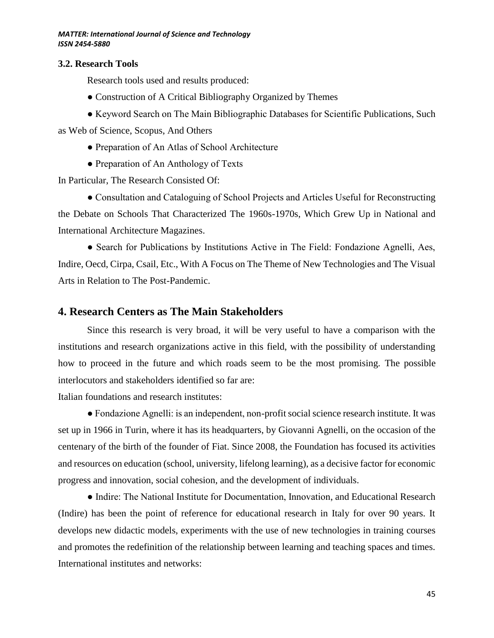### **3.2. Research Tools**

Research tools used and results produced:

- Construction of A Critical Bibliography Organized by Themes
- Keyword Search on The Main Bibliographic Databases for Scientific Publications, Such as Web of Science, Scopus, And Others
	- Preparation of An Atlas of School Architecture
	- Preparation of An Anthology of Texts

In Particular, The Research Consisted Of:

● Consultation and Cataloguing of School Projects and Articles Useful for Reconstructing the Debate on Schools That Characterized The 1960s-1970s, Which Grew Up in National and International Architecture Magazines.

● Search for Publications by Institutions Active in The Field: Fondazione Agnelli, Aes, Indire, Oecd, Cirpa, Csail, Etc., With A Focus on The Theme of New Technologies and The Visual Arts in Relation to The Post-Pandemic.

## **4. Research Centers as The Main Stakeholders**

Since this research is very broad, it will be very useful to have a comparison with the institutions and research organizations active in this field, with the possibility of understanding how to proceed in the future and which roads seem to be the most promising. The possible interlocutors and stakeholders identified so far are:

Italian foundations and research institutes:

● Fondazione Agnelli: is an independent, non-profit social science research institute. It was set up in 1966 in Turin, where it has its headquarters, by Giovanni Agnelli, on the occasion of the centenary of the birth of the founder of Fiat. Since 2008, the Foundation has focused its activities and resources on education (school, university, lifelong learning), as a decisive factor for economic progress and innovation, social cohesion, and the development of individuals.

● Indire: The National Institute for Documentation, Innovation, and Educational Research (Indire) has been the point of reference for educational research in Italy for over 90 years. It develops new didactic models, experiments with the use of new technologies in training courses and promotes the redefinition of the relationship between learning and teaching spaces and times. International institutes and networks: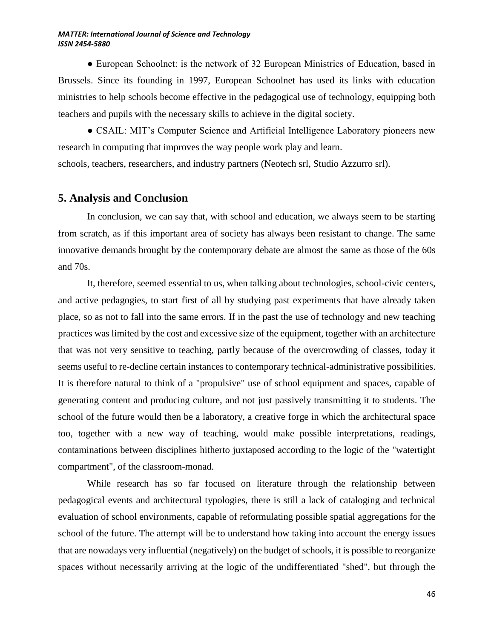• European Schoolnet: is the network of 32 European Ministries of Education, based in Brussels. Since its founding in 1997, European Schoolnet has used its links with education ministries to help schools become effective in the pedagogical use of technology, equipping both teachers and pupils with the necessary skills to achieve in the digital society.

● CSAIL: MIT's Computer Science and Artificial Intelligence Laboratory pioneers new research in computing that improves the way people work play and learn. schools, teachers, researchers, and industry partners (Neotech srl, Studio Azzurro srl).

## **5. Analysis and Conclusion**

In conclusion, we can say that, with school and education, we always seem to be starting from scratch, as if this important area of society has always been resistant to change. The same innovative demands brought by the contemporary debate are almost the same as those of the 60s and 70s.

It, therefore, seemed essential to us, when talking about technologies, school-civic centers, and active pedagogies, to start first of all by studying past experiments that have already taken place, so as not to fall into the same errors. If in the past the use of technology and new teaching practices was limited by the cost and excessive size of the equipment, together with an architecture that was not very sensitive to teaching, partly because of the overcrowding of classes, today it seems useful to re-decline certain instances to contemporary technical-administrative possibilities. It is therefore natural to think of a "propulsive" use of school equipment and spaces, capable of generating content and producing culture, and not just passively transmitting it to students. The school of the future would then be a laboratory, a creative forge in which the architectural space too, together with a new way of teaching, would make possible interpretations, readings, contaminations between disciplines hitherto juxtaposed according to the logic of the "watertight compartment", of the classroom-monad.

While research has so far focused on literature through the relationship between pedagogical events and architectural typologies, there is still a lack of cataloging and technical evaluation of school environments, capable of reformulating possible spatial aggregations for the school of the future. The attempt will be to understand how taking into account the energy issues that are nowadays very influential (negatively) on the budget of schools, it is possible to reorganize spaces without necessarily arriving at the logic of the undifferentiated "shed", but through the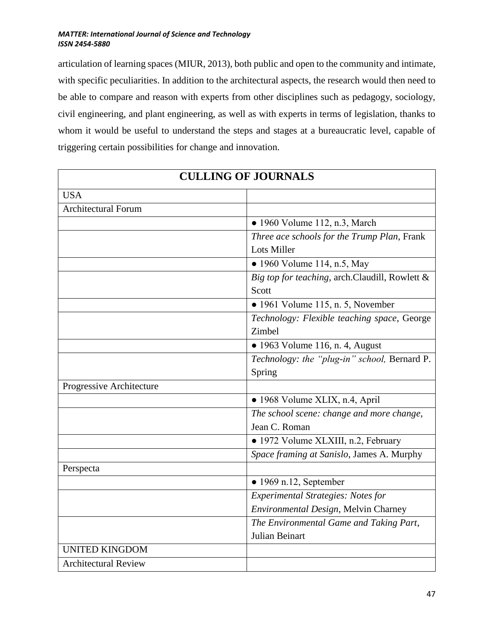articulation of learning spaces (MIUR, 2013), both public and open to the community and intimate, with specific peculiarities. In addition to the architectural aspects, the research would then need to be able to compare and reason with experts from other disciplines such as pedagogy, sociology, civil engineering, and plant engineering, as well as with experts in terms of legislation, thanks to whom it would be useful to understand the steps and stages at a bureaucratic level, capable of triggering certain possibilities for change and innovation.

| <b>CULLING OF JOURNALS</b>  |                                                |  |
|-----------------------------|------------------------------------------------|--|
| <b>USA</b>                  |                                                |  |
| <b>Architectural Forum</b>  |                                                |  |
|                             | • 1960 Volume 112, n.3, March                  |  |
|                             | Three ace schools for the Trump Plan, Frank    |  |
|                             | <b>Lots Miller</b>                             |  |
|                             | • 1960 Volume 114, n.5, May                    |  |
|                             | Big top for teaching, arch.Claudill, Rowlett & |  |
|                             | Scott                                          |  |
|                             | $\bullet$ 1961 Volume 115, n. 5, November      |  |
|                             | Technology: Flexible teaching space, George    |  |
|                             | Zimbel                                         |  |
|                             | $\bullet$ 1963 Volume 116, n. 4, August        |  |
|                             | Technology: the "plug-in" school, Bernard P.   |  |
|                             | Spring                                         |  |
| Progressive Architecture    |                                                |  |
|                             | · 1968 Volume XLIX, n.4, April                 |  |
|                             | The school scene: change and more change,      |  |
|                             | Jean C. Roman                                  |  |
|                             | • 1972 Volume XLXIII, n.2, February            |  |
|                             | Space framing at Sanislo, James A. Murphy      |  |
| Perspecta                   |                                                |  |
|                             | $\bullet$ 1969 n.12, September                 |  |
|                             | <b>Experimental Strategies: Notes for</b>      |  |
|                             | Environmental Design, Melvin Charney           |  |
|                             | The Environmental Game and Taking Part,        |  |
|                             | Julian Beinart                                 |  |
| <b>UNITED KINGDOM</b>       |                                                |  |
| <b>Architectural Review</b> |                                                |  |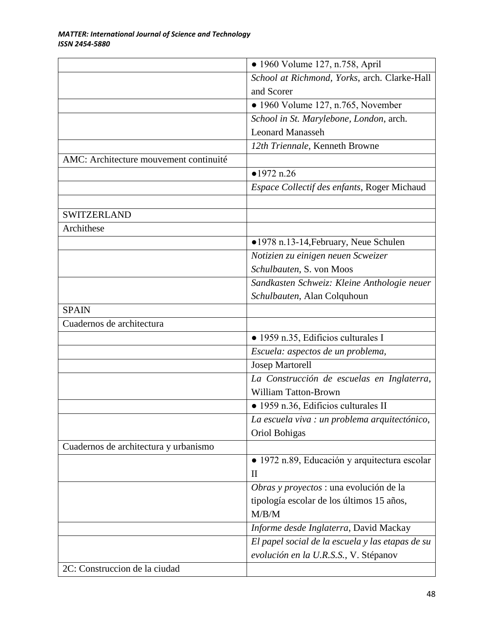|                                        | • 1960 Volume 127, n.758, April                  |
|----------------------------------------|--------------------------------------------------|
|                                        | School at Richmond, Yorks, arch. Clarke-Hall     |
|                                        | and Scorer                                       |
|                                        | $\bullet$ 1960 Volume 127, n.765, November       |
|                                        | School in St. Marylebone, London, arch.          |
|                                        | <b>Leonard Manasseh</b>                          |
|                                        | 12th Triennale, Kenneth Browne                   |
| AMC: Architecture mouvement continuité |                                                  |
|                                        | •1972 n.26                                       |
|                                        | Espace Collectif des enfants, Roger Michaud      |
|                                        |                                                  |
| <b>SWITZERLAND</b>                     |                                                  |
| Archithese                             |                                                  |
|                                        | •1978 n.13-14, February, Neue Schulen            |
|                                        | Notizien zu einigen neuen Scweizer               |
|                                        | Schulbauten, S. von Moos                         |
|                                        | Sandkasten Schweiz: Kleine Anthologie neuer      |
|                                        | Schulbauten, Alan Colquhoun                      |
| <b>SPAIN</b>                           |                                                  |
| Cuadernos de architectura              |                                                  |
|                                        | · 1959 n.35, Edificios culturales I              |
|                                        | Escuela: aspectos de un problema,                |
|                                        | <b>Josep Martorell</b>                           |
|                                        | La Construcción de escuelas en Inglaterra,       |
|                                        | <b>William Tatton-Brown</b>                      |
|                                        | · 1959 n.36, Edificios culturales II             |
|                                        | La escuela viva : un problema arquitectónico,    |
|                                        | Oriol Bohigas                                    |
| Cuadernos de architectura y urbanismo  |                                                  |
|                                        | · 1972 n.89, Educación y arquitectura escolar    |
|                                        | $\mathbf{I}$                                     |
|                                        | Obras y proyectos : una evolución de la          |
|                                        | tipología escolar de los últimos 15 años,        |
|                                        | M/B/M                                            |
|                                        | Informe desde Inglaterra, David Mackay           |
|                                        | El papel social de la escuela y las etapas de su |
|                                        | evolución en la U.R.S.S., V. Stépanov            |
| 2C: Construccion de la ciudad          |                                                  |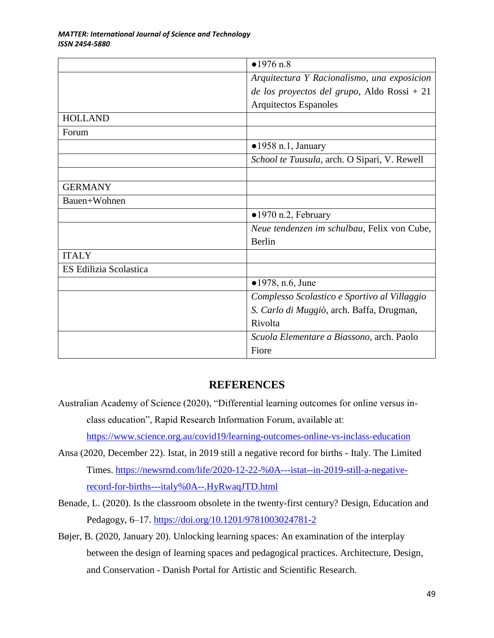|                        | •1976 n.8                                    |  |
|------------------------|----------------------------------------------|--|
|                        | Arquitectura Y Racionalismo, una exposicion  |  |
|                        | de los proyectos del grupo, Aldo Rossi + 21  |  |
|                        | <b>Arquitectos Espanoles</b>                 |  |
| <b>HOLLAND</b>         |                                              |  |
| Forum                  |                                              |  |
|                        | $\bullet$ 1958 n.1, January                  |  |
|                        | School te Tuusula, arch. O Sipari, V. Rewell |  |
|                        |                                              |  |
| <b>GERMANY</b>         |                                              |  |
| Bauen+Wohnen           |                                              |  |
|                        | $\bullet$ 1970 n.2, February                 |  |
|                        | Neue tendenzen im schulbau, Felix von Cube,  |  |
|                        | Berlin                                       |  |
| <b>ITALY</b>           |                                              |  |
| ES Edilizia Scolastica |                                              |  |
|                        | $\bullet$ 1978, n.6, June                    |  |
|                        | Complesso Scolastico e Sportivo al Villaggio |  |
|                        | S. Carlo di Muggiò, arch. Baffa, Drugman,    |  |
|                        | Rivolta                                      |  |
|                        | Scuola Elementare a Biassono, arch. Paolo    |  |
|                        | Fiore                                        |  |

## **REFERENCES**

Australian Academy of Science (2020), "Differential learning outcomes for online versus inclass education", Rapid Research Information Forum, available at:

<https://www.science.org.au/covid19/learning-outcomes-online-vs-inclass-education>

- Ansa (2020, December 22). Istat, in 2019 still a negative record for births Italy. The Limited Times. [https://newsrnd.com/life/2020-12-22-%0A---istat--in-2019-still-a-negative](https://newsrnd.com/life/2020-12-22-%0A---istat--in-2019-still-a-negative-record-for-births---italy%0A--.HyRwaqJTD.html)[record-for-births---italy%0A--.HyRwaqJTD.html](https://newsrnd.com/life/2020-12-22-%0A---istat--in-2019-still-a-negative-record-for-births---italy%0A--.HyRwaqJTD.html)
- Benade, L. (2020). Is the classroom obsolete in the twenty-first century? Design, Education and Pedagogy, 6–17.<https://doi.org/10.1201/9781003024781-2>
- Bøjer, B. (2020, January 20). Unlocking learning spaces: An examination of the interplay between the design of learning spaces and pedagogical practices. Architecture, Design, and Conservation - Danish Portal for Artistic and Scientific Research.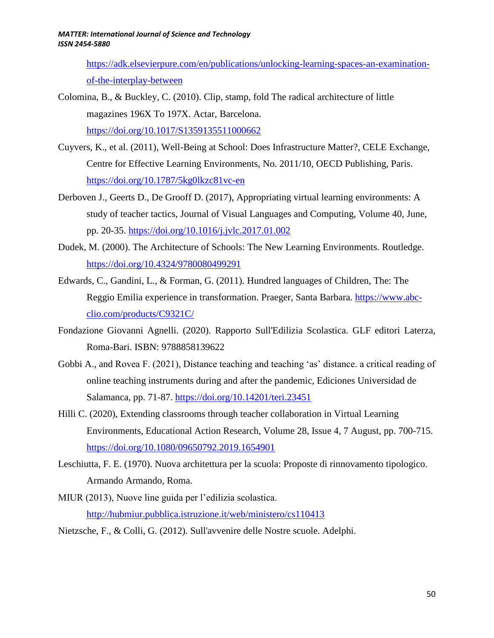[https://adk.elsevierpure.com/en/publications/unlocking-learning-spaces-an-examination](https://adk.elsevierpure.com/en/publications/unlocking-learning-spaces-an-examination-of-the-interplay-between)[of-the-interplay-between](https://adk.elsevierpure.com/en/publications/unlocking-learning-spaces-an-examination-of-the-interplay-between)

Colomina, B., & Buckley, C. (2010). Clip, stamp, fold The radical architecture of little magazines 196X To 197X. Actar, Barcelona. <https://doi.org/10.1017/S1359135511000662>

Cuyvers, K., et al. (2011), Well-Being at School: Does Infrastructure Matter?, CELE Exchange, Centre for Effective Learning Environments, No. 2011/10, OECD Publishing, Paris. <https://doi.org/10.1787/5kg0lkzc81vc-en>

- Derboven J., Geerts D., De Grooff D. (2017), Appropriating virtual learning environments: A study of teacher tactics, Journal of Visual Languages and Computing, Volume 40, June, pp. 20-35.<https://doi.org/10.1016/j.jvlc.2017.01.002>
- Dudek, M. (2000). The Architecture of Schools: The New Learning Environments. Routledge. <https://doi.org/10.4324/9780080499291>
- Edwards, C., Gandini, L., & Forman, G. (2011). Hundred languages of Children, The: The Reggio Emilia experience in transformation. Praeger, Santa Barbara. [https://www.abc](https://www.abc-clio.com/products/C9321C/)[clio.com/products/C9321C/](https://www.abc-clio.com/products/C9321C/)
- Fondazione Giovanni Agnelli. (2020). Rapporto Sull'Edilizia Scolastica. GLF editori Laterza, Roma-Bari. ISBN: 9788858139622
- Gobbi A., and Rovea F. (2021), Distance teaching and teaching 'as' distance. a critical reading of online teaching instruments during and after the pandemic, Ediciones Universidad de Salamanca, pp. 71-87.<https://doi.org/10.14201/teri.23451>
- Hilli C. (2020), Extending classrooms through teacher collaboration in Virtual Learning Environments, Educational Action Research, Volume 28, Issue 4, 7 August, pp. 700-715. <https://doi.org/10.1080/09650792.2019.1654901>
- Leschiutta, F. E. (1970). Nuova architettura per la scuola: Proposte di rinnovamento tipologico. Armando Armando, Roma.
- MIUR (2013), Nuove line guida per l'edilizia scolastica. <http://hubmiur.pubblica.istruzione.it/web/ministero/cs110413>
- Nietzsche, F., & Colli, G. (2012). Sull'avvenire delle Nostre scuole. Adelphi.